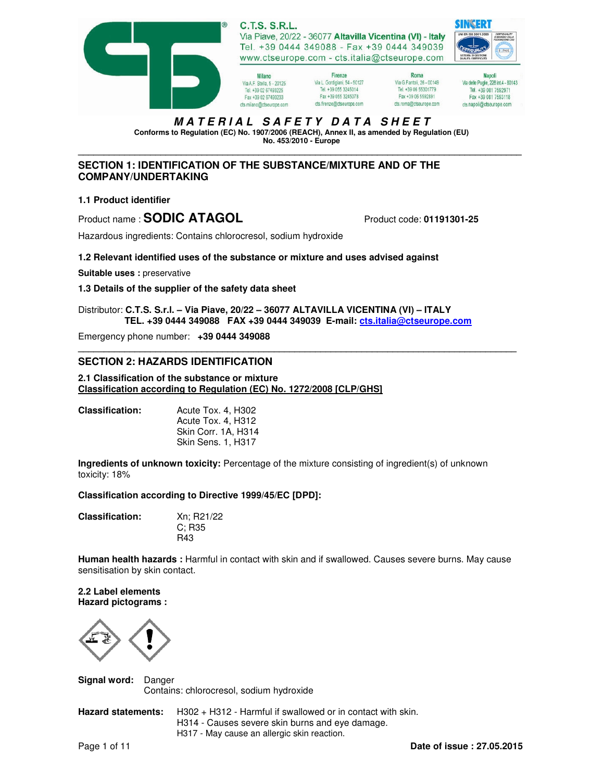

# **M A T E R I A L S A F E T Y D A T A S H E E T**

**Conforms to Regulation (EC) No. 1907/2006 (REACH), Annex II, as amended by Regulation (EU) No. 453/2010 - Europe \_\_\_\_\_\_\_\_\_\_\_\_\_\_\_\_\_\_\_\_\_\_\_\_\_\_\_\_\_\_\_\_\_\_\_\_\_\_\_\_\_\_\_\_\_\_\_\_\_\_\_\_\_\_\_\_\_\_\_\_\_\_\_\_\_\_\_\_\_\_\_\_\_\_\_\_\_\_\_\_\_\_\_\_\_\_** 

# **SECTION 1: IDENTIFICATION OF THE SUBSTANCE/MIXTURE AND OF THE COMPANY/UNDERTAKING**

## **1.1 Product identifier**

Product name : **SODIC ATAGOL** Product code: **01191301-25** 

Hazardous ingredients: Contains chlorocresol, sodium hydroxide

### **1.2 Relevant identified uses of the substance or mixture and uses advised against**

**Suitable uses : preservative** 

**1.3 Details of the supplier of the safety data sheet**

Distributor: **C.T.S. S.r.l. – Via Piave, 20/22 – 36077 ALTAVILLA VICENTINA (VI) – ITALY TEL. +39 0444 349088 FAX +39 0444 349039 E-mail: cts.italia@ctseurope.com**

**\_\_\_\_\_\_\_\_\_\_\_\_\_\_\_\_\_\_\_\_\_\_\_\_\_\_\_\_\_\_\_\_\_\_\_\_\_\_\_\_\_\_\_\_\_\_\_\_\_\_\_\_\_\_\_\_\_\_\_\_\_\_\_\_\_\_\_\_\_\_\_\_\_\_\_\_\_\_\_\_\_\_\_\_\_** 

Emergency phone number: **+39 0444 349088** 

## **SECTION 2: HAZARDS IDENTIFICATION**

**2.1 Classification of the substance or mixture Classification according to Regulation (EC) No. 1272/2008 [CLP/GHS]**

| Acute Tox. 4, H302        |
|---------------------------|
| Acute Tox. 4, H312        |
| Skin Corr. 1A. H314       |
| <b>Skin Sens. 1. H317</b> |
|                           |

**Ingredients of unknown toxicity:** Percentage of the mixture consisting of ingredient(s) of unknown toxicity: 18%

### **Classification according to Directive 1999/45/EC [DPD]:**

| Xn; R21/22 |
|------------|
| C: R35     |
| R43        |
|            |

**Human health hazards :** Harmful in contact with skin and if swallowed. Causes severe burns. May cause sensitisation by skin contact.

**2.2 Label elements Hazard pictograms :** 



**Signal word:** Danger Contains: chlorocresol, sodium hydroxide

| <b>Hazard statements:</b> | $H302 + H312$ - Harmful if swallowed or in contact with skin. |
|---------------------------|---------------------------------------------------------------|
|                           | H314 - Causes severe skin burns and eve damage.               |
|                           | H317 - May cause an allergic skin reaction.                   |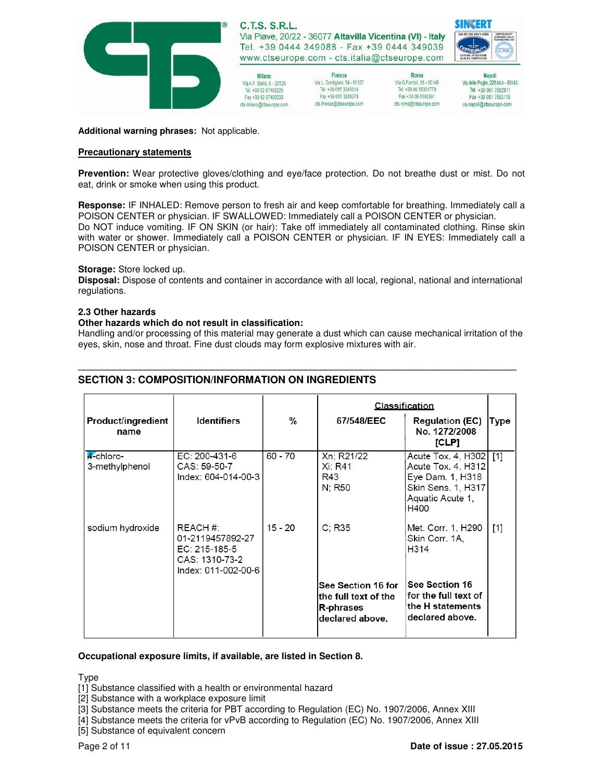

**Additional warning phrases:** Not applicable.

### **Precautionary statements**

**Prevention:** Wear protective gloves/clothing and eye/face protection. Do not breathe dust or mist. Do not eat, drink or smoke when using this product.

**Response:** IF INHALED: Remove person to fresh air and keep comfortable for breathing. Immediately call a POISON CENTER or physician. IF SWALLOWED: Immediately call a POISON CENTER or physician. Do NOT induce vomiting. IF ON SKIN (or hair): Take off immediately all contaminated clothing. Rinse skin with water or shower. Immediately call a POISON CENTER or physician. IF IN EYES: Immediately call a POISON CENTER or physician.

### **Storage:** Store locked up.

**Disposal:** Dispose of contents and container in accordance with all local, regional, national and international regulations.

#### **2.3 Other hazards**

#### **Other hazards which do not result in classification:**

Handling and/or processing of this material may generate a dust which can cause mechanical irritation of the eyes, skin, nose and throat. Fine dust clouds may form explosive mixtures with air.

**\_\_\_\_\_\_\_\_\_\_\_\_\_\_\_\_\_\_\_\_\_\_\_\_\_\_\_\_\_\_\_\_\_\_\_\_\_\_\_\_\_\_\_\_\_\_\_\_\_\_\_\_\_\_\_\_\_\_\_\_\_\_\_\_\_\_\_\_\_\_\_\_\_\_\_\_\_\_\_\_\_\_\_\_\_** 

|                                   |                                                                                        |           | <b>Classification</b>                                                      |                                                                                                                    |       |
|-----------------------------------|----------------------------------------------------------------------------------------|-----------|----------------------------------------------------------------------------|--------------------------------------------------------------------------------------------------------------------|-------|
| <b>Product/ingredient</b><br>name | <b>Identifiers</b>                                                                     | %         | 67/548/EEC                                                                 | <b>Regulation (EC)</b><br>No. 1272/2008<br>[CLP]                                                                   | Type  |
| 4-chloro-<br>3-methylphenol       | EC: 200-431-6<br>CAS: 59-50-7<br>Index: 604-014-00-3                                   | 60 - 70   | Xn; R21/22<br>Xi: R41<br>R43<br>N: R50                                     | Acute Tox. 4, H302 [1]<br>Acute Tox. 4, H312<br>Eye Dam. 1, H318<br>Skin Sens. 1, H317<br>Aquatic Acute 1,<br>H400 |       |
| sodium hydroxide                  | REACH #:<br>01-2119457892-27<br>EC: 215-185-5<br>CAS: 1310-73-2<br>Index: 011-002-00-6 | $15 - 20$ | C: R35                                                                     | Met. Corr. 1, H290<br>Skin Corr. 1A,<br>H314                                                                       | $[1]$ |
|                                   |                                                                                        |           | See Section 16 for<br>the full text of the<br>R-phrases<br>declared above. | See Section 16<br>for the full text of<br>the H statements<br>declared above.                                      |       |

## **SECTION 3: COMPOSITION/INFORMATION ON INGREDIENTS**

### **Occupational exposure limits, if available, are listed in Section 8.**

Type

[1] Substance classified with a health or environmental hazard

[2] Substance with a workplace exposure limit

[3] Substance meets the criteria for PBT according to Regulation (EC) No. 1907/2006, Annex XIII

[4] Substance meets the criteria for vPvB according to Regulation (EC) No. 1907/2006, Annex XIII

[5] Substance of equivalent concern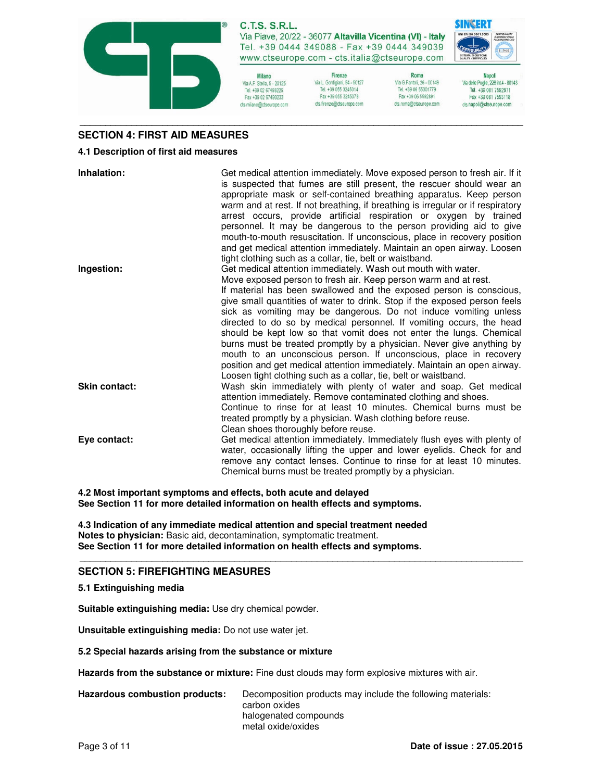

**C.T.S. S.R.L.** Via Piave, 20/22 - 36077 Altavilla Vicentina (VI) - Italy Tel. +39 0444 349088 - Fax +39 0444 349039

www.ctseurope.com - cts.italia@ctseurope.com Firenze

Milano Via A.F. Stella, 5 - 20125 Tel. +39 02 67493225 Fax +39 02 67493233 cts.milano@ctseurope.com

Via G.Fantoli, 26 - 00149 Via L. Gordiniani, 54 - 50127 Tel. +39 055 3245014 Tel. +39 06 55301779 Fax +39 055 3245078 Fax +39 06 5592891 cts.firenze@ctseurope.com cts.roma@ctseurope.com

Roma



**Napoli** Via delle Puglie, 228 int.4 - 80143 Tel. +39 081 7592971 Fax +39 081 7593118 cts.napoli@ctseurope.com

## **SECTION 4: FIRST AID MEASURES**

### **4.1 Description of first aid measures**

**Inhalation:** Get medical attention immediately. Move exposed person to fresh air. If it is suspected that fumes are still present, the rescuer should wear an appropriate mask or self-contained breathing apparatus. Keep person warm and at rest. If not breathing, if breathing is irregular or if respiratory arrest occurs, provide artificial respiration or oxygen by trained personnel. It may be dangerous to the person providing aid to give mouth-to-mouth resuscitation. If unconscious, place in recovery position and get medical attention immediately. Maintain an open airway. Loosen tight clothing such as a collar, tie, belt or waistband. **Ingestion:** Get medical attention immediately. Wash out mouth with water. Move exposed person to fresh air. Keep person warm and at rest. If material has been swallowed and the exposed person is conscious, give small quantities of water to drink. Stop if the exposed person feels sick as vomiting may be dangerous. Do not induce vomiting unless directed to do so by medical personnel. If vomiting occurs, the head should be kept low so that vomit does not enter the lungs. Chemical burns must be treated promptly by a physician. Never give anything by mouth to an unconscious person. If unconscious, place in recovery position and get medical attention immediately. Maintain an open airway. Loosen tight clothing such as a collar, tie, belt or waistband. **Skin contact:** Wash skin immediately with plenty of water and soap. Get medical attention immediately. Remove contaminated clothing and shoes. Continue to rinse for at least 10 minutes. Chemical burns must be treated promptly by a physician. Wash clothing before reuse. Clean shoes thoroughly before reuse. **Eye contact:** Get medical attention immediately. Immediately flush eyes with plenty of water, occasionally lifting the upper and lower eyelids. Check for and remove any contact lenses. Continue to rinse for at least 10 minutes. Chemical burns must be treated promptly by a physician.

**4.2 Most important symptoms and effects, both acute and delayed See Section 11 for more detailed information on health effects and symptoms.** 

**4.3 Indication of any immediate medical attention and special treatment needed Notes to physician:** Basic aid, decontamination, symptomatic treatment. **See Section 11 for more detailed information on health effects and symptoms.**

## **SECTION 5: FIREFIGHTING MEASURES**

## **5.1 Extinguishing media**

**Suitable extinguishing media:** Use dry chemical powder.

**Unsuitable extinguishing media:** Do not use water jet.

### **5.2 Special hazards arising from the substance or mixture**

**Hazards from the substance or mixture:** Fine dust clouds may form explosive mixtures with air.

**\_\_\_\_\_\_\_\_\_\_\_\_\_\_\_\_\_\_\_\_\_\_\_\_\_\_\_\_\_\_\_\_\_\_\_\_\_\_\_\_\_\_\_\_\_\_\_\_\_\_\_\_\_\_\_\_\_\_\_\_\_\_\_\_\_\_\_\_\_\_\_\_\_\_\_\_\_\_\_\_\_\_\_\_\_\_**

**Hazardous combustion products:** Decomposition products may include the following materials: carbon oxides halogenated compounds metal oxide/oxides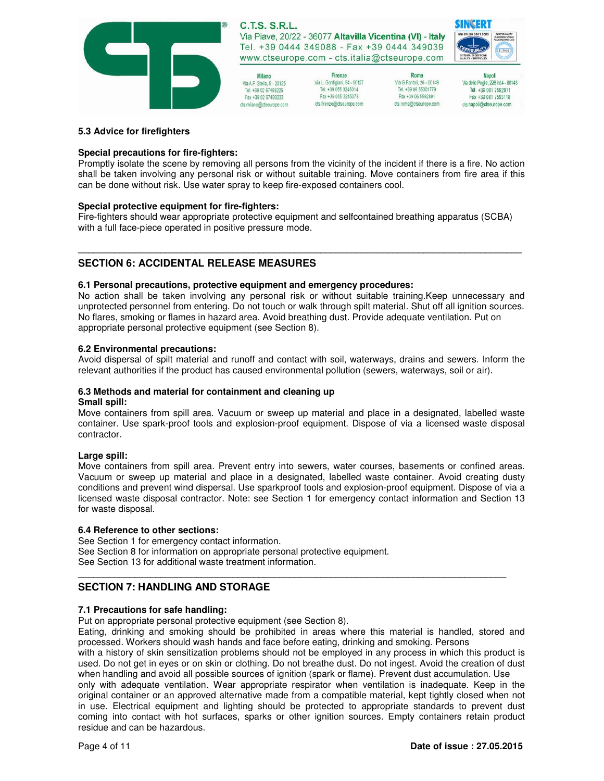

Milano Via A.F. Stella, 5 - 20125 Tel. +39 02 67493225 Fax +39 02 67493233 cts.milano@ctseurope.com

Firenze Via L. Gordiniani, 54 - 50127 Tel. +39 055 3245014 lei. +39 055 3245014<br>Fax +39 055 3245078 cts.frenze@ctseurope.com

Roma Via G.Fantoli, 26 - 00149 Tel. +39 06 55301779 Fax +39 06 5592891 cts.roma@ctseurope.com

**Napoli** Via delle Puglie, 228 int.4 - 80143 Tel. +39 081 7592971 Fax +39 081 7593118 cts.napoli@ctseurope.com

SINGERT

### **5.3 Advice for firefighters**

### **Special precautions for fire-fighters:**

Promptly isolate the scene by removing all persons from the vicinity of the incident if there is a fire. No action shall be taken involving any personal risk or without suitable training. Move containers from fire area if this can be done without risk. Use water spray to keep fire-exposed containers cool.

### **Special protective equipment for fire-fighters:**

Fire-fighters should wear appropriate protective equipment and selfcontained breathing apparatus (SCBA) with a full face-piece operated in positive pressure mode.

**\_\_\_\_\_\_\_\_\_\_\_\_\_\_\_\_\_\_\_\_\_\_\_\_\_\_\_\_\_\_\_\_\_\_\_\_\_\_\_\_\_\_\_\_\_\_\_\_\_\_\_\_\_\_\_\_\_\_\_\_\_\_\_\_\_\_\_\_\_\_\_\_\_\_\_\_\_\_\_\_\_\_\_\_\_\_**

# **SECTION 6: ACCIDENTAL RELEASE MEASURES**

### **6.1 Personal precautions, protective equipment and emergency procedures:**

No action shall be taken involving any personal risk or without suitable training.Keep unnecessary and unprotected personnel from entering. Do not touch or walk through spilt material. Shut off all ignition sources. No flares, smoking or flames in hazard area. Avoid breathing dust. Provide adequate ventilation. Put on appropriate personal protective equipment (see Section 8).

### **6.2 Environmental precautions:**

Avoid dispersal of spilt material and runoff and contact with soil, waterways, drains and sewers. Inform the relevant authorities if the product has caused environmental pollution (sewers, waterways, soil or air).

#### **6.3 Methods and material for containment and cleaning up Small spill:**

Move containers from spill area. Vacuum or sweep up material and place in a designated, labelled waste container. Use spark-proof tools and explosion-proof equipment. Dispose of via a licensed waste disposal contractor.

### **Large spill:**

Move containers from spill area. Prevent entry into sewers, water courses, basements or confined areas. Vacuum or sweep up material and place in a designated, labelled waste container. Avoid creating dusty conditions and prevent wind dispersal. Use sparkproof tools and explosion-proof equipment. Dispose of via a licensed waste disposal contractor. Note: see Section 1 for emergency contact information and Section 13 for waste disposal.

### **6.4 Reference to other sections:**

See Section 1 for emergency contact information. See Section 8 for information on appropriate personal protective equipment. See Section 13 for additional waste treatment information.

# **SECTION 7: HANDLING AND STORAGE**

## **7.1 Precautions for safe handling:**

Put on appropriate personal protective equipment (see Section 8).

Eating, drinking and smoking should be prohibited in areas where this material is handled, stored and processed. Workers should wash hands and face before eating, drinking and smoking. Persons

**\_\_\_\_\_\_\_\_\_\_\_\_\_\_\_\_\_\_\_\_\_\_\_\_\_\_\_\_\_\_\_\_\_\_\_\_\_\_\_\_\_\_\_\_\_\_\_\_\_\_\_\_\_\_\_\_\_\_\_\_\_\_\_\_\_\_\_\_\_\_\_\_\_\_\_\_\_\_\_\_\_\_\_** 

with a history of skin sensitization problems should not be employed in any process in which this product is used. Do not get in eyes or on skin or clothing. Do not breathe dust. Do not ingest. Avoid the creation of dust when handling and avoid all possible sources of ignition (spark or flame). Prevent dust accumulation. Use

only with adequate ventilation. Wear appropriate respirator when ventilation is inadequate. Keep in the original container or an approved alternative made from a compatible material, kept tightly closed when not in use. Electrical equipment and lighting should be protected to appropriate standards to prevent dust coming into contact with hot surfaces, sparks or other ignition sources. Empty containers retain product residue and can be hazardous.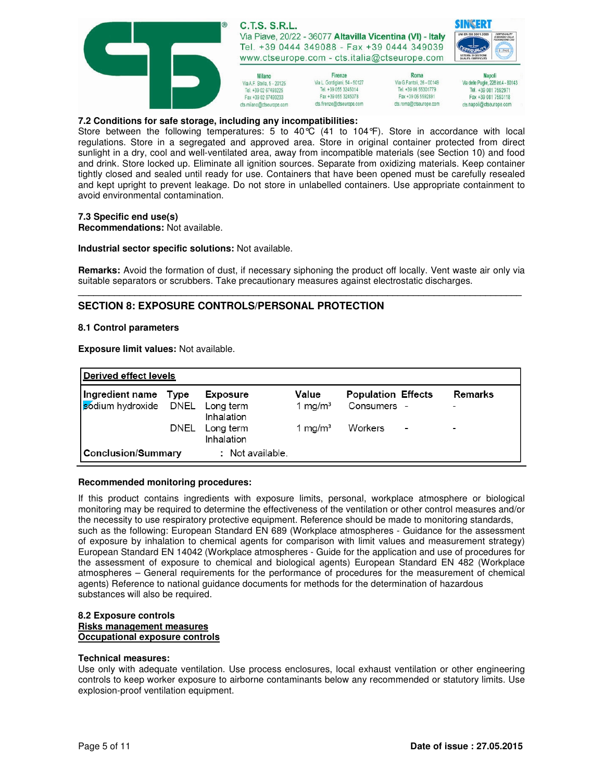

### **7.2 Conditions for safe storage, including any incompatibilities:**

Store between the following temperatures: 5 to 40°C (41 to 104°F). Store in accordance with local regulations. Store in a segregated and approved area. Store in original container protected from direct sunlight in a dry, cool and well-ventilated area, away from incompatible materials (see Section 10) and food and drink. Store locked up. Eliminate all ignition sources. Separate from oxidizing materials. Keep container tightly closed and sealed until ready for use. Containers that have been opened must be carefully resealed and kept upright to prevent leakage. Do not store in unlabelled containers. Use appropriate containment to avoid environmental contamination.

### **7.3 Specific end use(s)**

**Recommendations:** Not available.

### **Industrial sector specific solutions:** Not available.

**Remarks:** Avoid the formation of dust, if necessary siphoning the product off locally. Vent waste air only via suitable separators or scrubbers. Take precautionary measures against electrostatic discharges. **\_\_\_\_\_\_\_\_\_\_\_\_\_\_\_\_\_\_\_\_\_\_\_\_\_\_\_\_\_\_\_\_\_\_\_\_\_\_\_\_\_\_\_\_\_\_\_\_\_\_\_\_\_\_\_\_\_\_\_\_\_\_\_\_\_\_\_\_\_\_\_\_\_\_\_\_\_\_\_\_\_\_\_\_\_\_**

## **SECTION 8: EXPOSURE CONTROLS/PERSONAL PROTECTION**

#### **8.1 Control parameters**

**Exposure limit values:** Not available.

| Derived effect levels           |      |                         |                     |                           |                          |  |
|---------------------------------|------|-------------------------|---------------------|---------------------------|--------------------------|--|
| Ingredient name Type            |      | <b>Exposure</b>         | Value               | <b>Population Effects</b> | Remarks                  |  |
| sodium hydroxide DNEL Long term |      | Inhalation              | 1 mg/m <sup>3</sup> | Consumers -               | $\overline{\phantom{0}}$ |  |
|                                 | DNEL | Long term<br>Inhalation | 1 mg/m $3$          | Workers<br>٠              |                          |  |
| <b>Conclusion/Summary</b>       |      | : Not available.        |                     |                           |                          |  |

### **Recommended monitoring procedures:**

If this product contains ingredients with exposure limits, personal, workplace atmosphere or biological monitoring may be required to determine the effectiveness of the ventilation or other control measures and/or the necessity to use respiratory protective equipment. Reference should be made to monitoring standards, such as the following: European Standard EN 689 (Workplace atmospheres - Guidance for the assessment of exposure by inhalation to chemical agents for comparison with limit values and measurement strategy) European Standard EN 14042 (Workplace atmospheres - Guide for the application and use of procedures for the assessment of exposure to chemical and biological agents) European Standard EN 482 (Workplace atmospheres – General requirements for the performance of procedures for the measurement of chemical agents) Reference to national guidance documents for methods for the determination of hazardous substances will also be required.

### **8.2 Exposure controls Risks management measures Occupational exposure controls**

#### **Technical measures:**

Use only with adequate ventilation. Use process enclosures, local exhaust ventilation or other engineering controls to keep worker exposure to airborne contaminants below any recommended or statutory limits. Use explosion-proof ventilation equipment.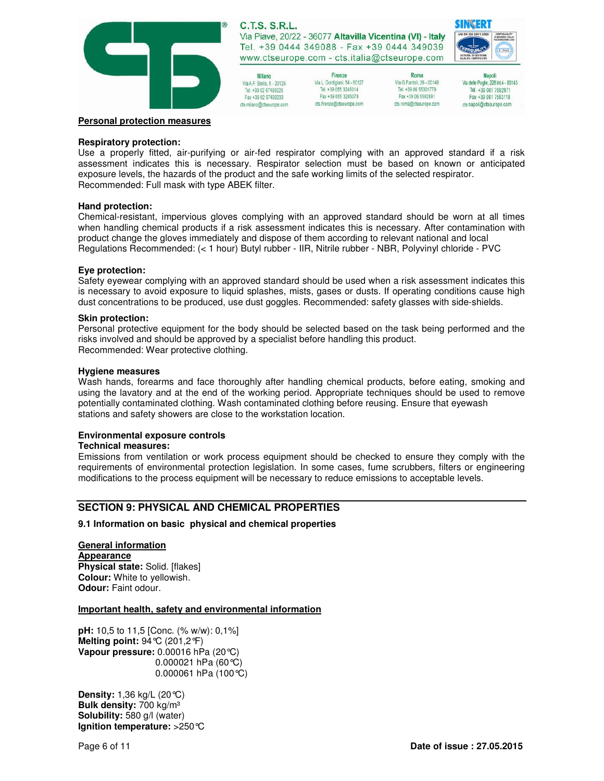

| Milano                      |
|-----------------------------|
| Via A.F. Stella, 5 - 20125  |
| Tel. +39 02 67493225        |
| Fax +39 02 67493233         |
| MO MULSAA (MASO ALIFAA DAM) |

Firenze Via L. Gordiniani, 54 - 50127 Tel. +39 055 3245014 Fax +39 055 3245078 cts.firenze@ctseurope.com

Roma Via G.Fantoli, 26 - 00149 Tel. +39 06 55301779 Fax +39 06 5592891 cts.roma@ctseurope.com



**Napoli** Via delle Puglie, 228 int.4 - 80143 Tel. +39 081 7592971 Fax +39 081 7593118 cts.napoli@ctseurope.com

### **Personal protection measures**

#### **Respiratory protection:**

Use a properly fitted, air-purifying or air-fed respirator complying with an approved standard if a risk assessment indicates this is necessary. Respirator selection must be based on known or anticipated exposure levels, the hazards of the product and the safe working limits of the selected respirator. Recommended: Full mask with type ABEK filter.

### **Hand protection:**

Chemical-resistant, impervious gloves complying with an approved standard should be worn at all times when handling chemical products if a risk assessment indicates this is necessary. After contamination with product change the gloves immediately and dispose of them according to relevant national and local Regulations Recommended: (< 1 hour) Butyl rubber - IIR, Nitrile rubber - NBR, Polyvinyl chloride - PVC

#### **Eye protection:**

Safety eyewear complying with an approved standard should be used when a risk assessment indicates this is necessary to avoid exposure to liquid splashes, mists, gases or dusts. If operating conditions cause high dust concentrations to be produced, use dust goggles. Recommended: safety glasses with side-shields.

#### **Skin protection:**

Personal protective equipment for the body should be selected based on the task being performed and the risks involved and should be approved by a specialist before handling this product. Recommended: Wear protective clothing.

#### **Hygiene measures**

Wash hands, forearms and face thoroughly after handling chemical products, before eating, smoking and using the lavatory and at the end of the working period. Appropriate techniques should be used to remove potentially contaminated clothing. Wash contaminated clothing before reusing. Ensure that eyewash stations and safety showers are close to the workstation location.

### **Environmental exposure controls**

### **Technical measures:**

Emissions from ventilation or work process equipment should be checked to ensure they comply with the requirements of environmental protection legislation. In some cases, fume scrubbers, filters or engineering modifications to the process equipment will be necessary to reduce emissions to acceptable levels.

## **SECTION 9: PHYSICAL AND CHEMICAL PROPERTIES**

### **9.1 Information on basic physical and chemical properties**

## **General information Appearance Physical state:** Solid. [flakes]

**Colour:** White to yellowish. **Odour:** Faint odour.

### **Important health, safety and environmental information**

**pH:** 10,5 to 11,5 [Conc. (% w/w): 0,1%] **Melting point:** 94°C (201,2°F) **Vapour pressure:** 0.00016 hPa (20°C) 0.000021 hPa (60°C) 0.000061 hPa  $(100^{\circ}C)$ 

**Density:** 1,36 kg/L (20°C) **Bulk density:** 700 kg/m³ **Solubility:** 580 g/l (water) **Ignition temperature:** >250°C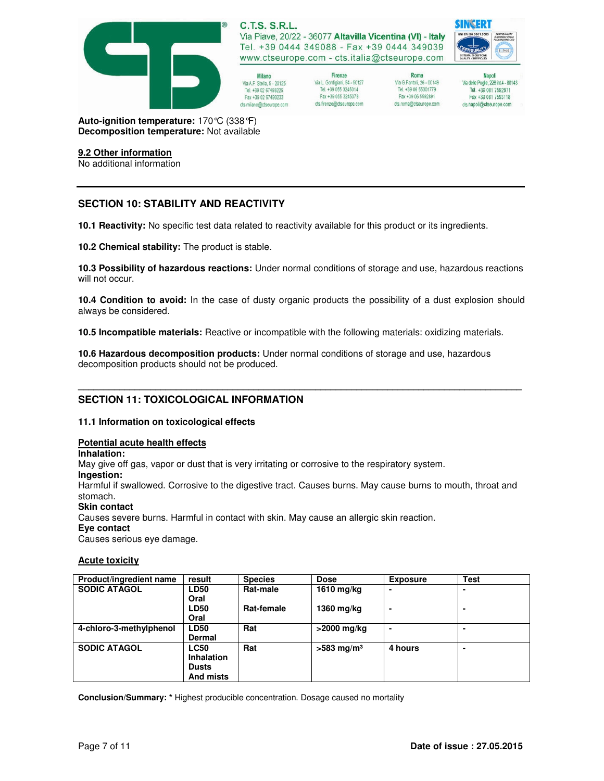

Milano Via A.F. Stella, 5 - 20125 Tel. +39 02 67493225 Fax +39 02 67493233 cts.milano@ctseurope.com

Firenze Via L. Gordigiani, 54 - 50127 Tel. +39 055 3245014 Fax +39 055 3245078 cts.frenze@ctseurope.com

Roma Via G.Fantoli, 26 - 00149 Tel. +39 06 55301779 Fax +39 06 5592891 cts.roma@ctseurope.com

**Napoli** Via delle Puglie, 228 int.4 - 80143 Tel. +39 081 7592971 Fax +39 081 7593118 cts.napoli@ctseurope.com

SINGERT

**Auto-ignition temperature:** 170°C (338°F) **Decomposition temperature:** Not available

### **9.2 Other information**

No additional information

# **SECTION 10: STABILITY AND REACTIVITY**

**10.1 Reactivity:** No specific test data related to reactivity available for this product or its ingredients.

**10.2 Chemical stability:** The product is stable.

**10.3 Possibility of hazardous reactions:** Under normal conditions of storage and use, hazardous reactions will not occur.

**10.4 Condition to avoid:** In the case of dusty organic products the possibility of a dust explosion should always be considered.

**\_\_\_\_\_\_\_\_\_\_\_\_\_\_\_\_\_\_\_\_\_\_\_\_\_\_\_\_\_\_\_\_\_\_\_\_\_\_\_\_\_\_\_\_\_\_\_\_\_\_\_\_\_\_\_\_\_\_\_\_\_\_\_\_\_\_\_\_\_\_\_\_\_\_\_\_\_\_\_\_\_\_\_\_\_\_**

**10.5 Incompatible materials:** Reactive or incompatible with the following materials: oxidizing materials.

**10.6 Hazardous decomposition products:** Under normal conditions of storage and use, hazardous decomposition products should not be produced.

# **SECTION 11: TOXICOLOGICAL INFORMATION**

### **11.1 Information on toxicological effects**

## **Potential acute health effects**

**Inhalation:**

May give off gas, vapor or dust that is very irritating or corrosive to the respiratory system.

**Ingestion:** 

Harmful if swallowed. Corrosive to the digestive tract. Causes burns. May cause burns to mouth, throat and stomach.

**Skin contact** 

Causes severe burns. Harmful in contact with skin. May cause an allergic skin reaction.

### **Eye contact**

Causes serious eye damage.

### **Acute toxicity**

| Product/ingredient name | result            | <b>Species</b> | <b>Dose</b>              | <b>Exposure</b> | <b>Test</b>    |
|-------------------------|-------------------|----------------|--------------------------|-----------------|----------------|
| <b>SODIC ATAGOL</b>     | <b>LD50</b>       | Rat-male       | 1610 mg/kg               |                 |                |
|                         | Oral              |                |                          |                 |                |
|                         | <b>LD50</b>       | Rat-female     | 1360 mg/kg               |                 |                |
|                         | Oral              |                |                          |                 |                |
| 4-chloro-3-methylphenol | <b>LD50</b>       | Rat            | >2000 mg/kg              |                 |                |
|                         | <b>Dermal</b>     |                |                          |                 |                |
| <b>SODIC ATAGOL</b>     | <b>LC50</b>       | Rat            | $>583$ mg/m <sup>3</sup> | 4 hours         | $\blacksquare$ |
|                         | <b>Inhalation</b> |                |                          |                 |                |
|                         | <b>Dusts</b>      |                |                          |                 |                |
|                         | And mists         |                |                          |                 |                |

**Conclusion/Summary: \*** Highest producible concentration. Dosage caused no mortality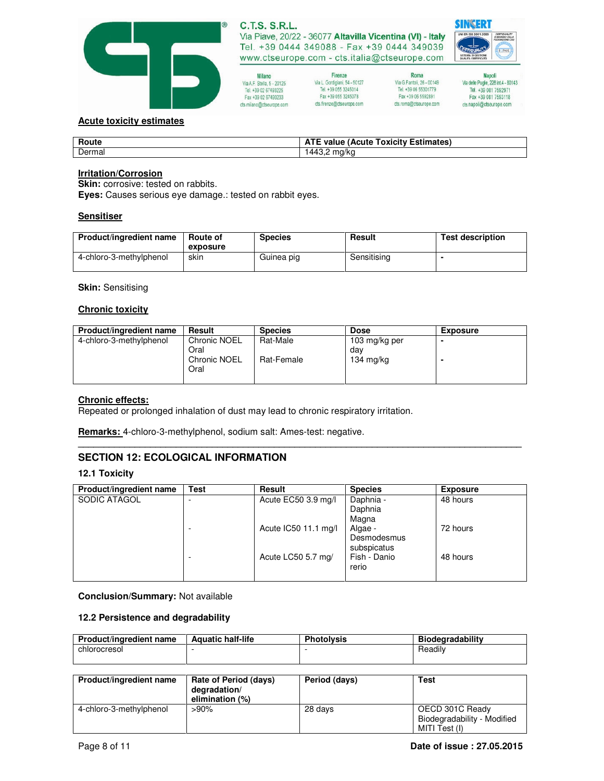

| Milano                     |
|----------------------------|
| Via A.F. Stella, 5 - 20125 |
| Tel +39 02 67493225        |
| Fax +39 02 67493233        |
| CIS MUANOLOCISAURODA COM-  |



Roma Via G.Fantoli, 26 - 00149 Tel. +39 06 55301779 Fax +39 06 5592891 cts.roma@ctseurope.com



Napoli<br>14- Via delle Puglie, 228 int.4 Tel. +39 081 7592971 Fax +39 081 7593118 cts.napoli@ctseurope.com

## **Acute toxicity estimates**

| Route  | <b>ATE</b><br><b>Toxicity Estimates)</b><br>value<br>: (Acute |
|--------|---------------------------------------------------------------|
| Dermal | م دار<br>$m$ n.                                               |

## **Irritation/Corrosion**

**Skin:** corrosive: tested on rabbits.

**Eyes:** Causes serious eye damage.: tested on rabbit eyes.

### **Sensitiser**

| Product/ingredient name | Route of<br>exposure | <b>Species</b> | <b>Result</b> | <b>Test description</b> |
|-------------------------|----------------------|----------------|---------------|-------------------------|
| 4-chloro-3-methylphenol | skin                 | Guinea pig     | Sensitising   |                         |

### **Skin:** Sensitising

### **Chronic toxicity**

| Product/ingredient name | Result                                                     | <b>Species</b>         | <b>Dose</b>                                 | <b>Exposure</b> |
|-------------------------|------------------------------------------------------------|------------------------|---------------------------------------------|-----------------|
| 4-chloro-3-methylphenol | <b>Chronic NOEL</b><br>Oral<br><b>Chronic NOEL</b><br>Oral | Rat-Male<br>Rat-Female | 103 mg/kg per<br>dav<br>$134 \text{ mg/kg}$ |                 |

**\_\_\_\_\_\_\_\_\_\_\_\_\_\_\_\_\_\_\_\_\_\_\_\_\_\_\_\_\_\_\_\_\_\_\_\_\_\_\_\_\_\_\_\_\_\_\_\_\_\_\_\_\_\_\_\_\_\_\_\_\_\_\_\_\_\_\_\_\_\_\_\_\_\_\_\_\_\_\_\_\_\_\_\_\_\_**

### **Chronic effects:**

Repeated or prolonged inhalation of dust may lead to chronic respiratory irritation.

**Remarks:** 4-chloro-3-methylphenol, sodium salt: Ames-test: negative.

# **SECTION 12: ECOLOGICAL INFORMATION**

### **12.1 Toxicity**

| Product/ingredient name | <b>Test</b> | Result               | <b>Species</b> | <b>Exposure</b> |
|-------------------------|-------------|----------------------|----------------|-----------------|
| SODIC ATAGOL            |             | Acute EC50 3.9 mg/l  | Daphnia -      | 48 hours        |
|                         |             |                      | Daphnia        |                 |
|                         |             |                      | Magna          |                 |
|                         |             | Acute IC50 11.1 mg/l | Algae -        | 72 hours        |
|                         |             |                      | Desmodesmus    |                 |
|                         |             |                      | subspicatus    |                 |
|                         |             | Acute LC50 5.7 mg/   | Fish - Danio   | 48 hours        |
|                         |             |                      | rerio          |                 |
|                         |             |                      |                |                 |

**Conclusion/Summary:** Not available

## **12.2 Persistence and degradability**

| Product/ingredient name | <b>Aquatic half-life</b> | <b>Photolysis</b> | <b>Biodegradability</b> |
|-------------------------|--------------------------|-------------------|-------------------------|
| chlorocresol            |                          |                   | <b>Headily</b>          |
|                         |                          |                   |                         |

| Product/ingredient name | Rate of Period (days)<br>degradation/<br>elimination (%) | Period (days) | Test                                                            |
|-------------------------|----------------------------------------------------------|---------------|-----------------------------------------------------------------|
| 4-chloro-3-methylphenol | $>90\%$                                                  | 28 days       | OECD 301C Ready<br>Biodegradability - Modified<br>MITI Test (I) |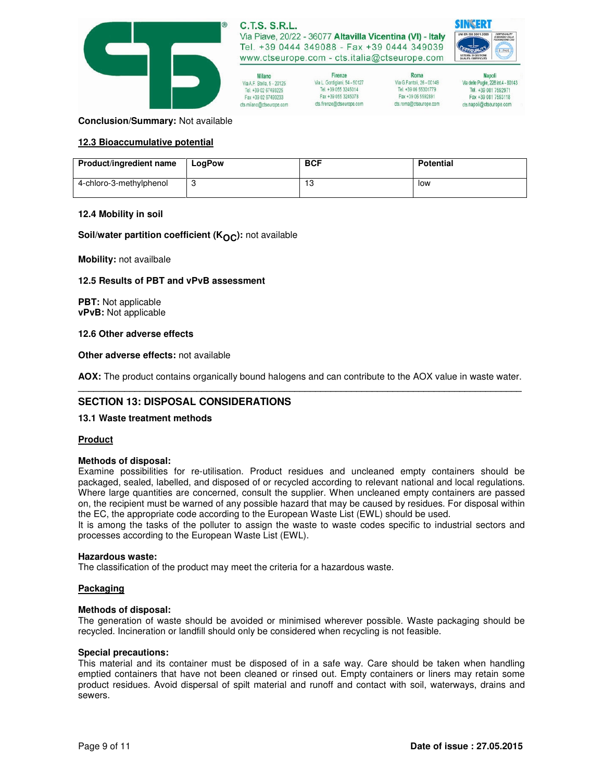

Firenze

Via L. Gordiniani, 54 - 50127

Fax +39 055 3245078

cts.firenze@ctseurope.com

Tel. +39 055 3245014

| Milano                     |  |
|----------------------------|--|
| lia A.F. Stella, 5 - 20125 |  |
| Tel. +39 02 67493225       |  |
| Fax +39 02 67493233        |  |
| migna@Meaurana.nam         |  |



Tel. +39 06 55301779

Fax +39 06 5592891

cts.roma@ctseurope.com

**SINGERT** 

**Conclusion/Summary:** Not available

### **12.3 Bioaccumulative potential**

| Product/ingredient name | LogPow | <b>BCF</b> | <b>Potential</b> |
|-------------------------|--------|------------|------------------|
| 4-chloro-3-methylphenol |        | 13         | low              |

### **12.4 Mobility in soil**

### **Soil/water partition coefficient (K<sub>OC</sub>):** not available

**Mobility:** not availbale

### **12.5 Results of PBT and vPvB assessment**

**PBT:** Not applicable **vPvB:** Not applicable

### **12.6 Other adverse effects**

### **Other adverse effects:** not available

**AOX:** The product contains organically bound halogens and can contribute to the AOX value in waste water. **\_\_\_\_\_\_\_\_\_\_\_\_\_\_\_\_\_\_\_\_\_\_\_\_\_\_\_\_\_\_\_\_\_\_\_\_\_\_\_\_\_\_\_\_\_\_\_\_\_\_\_\_\_\_\_\_\_\_\_\_\_\_\_\_\_\_\_\_\_\_\_\_\_\_\_\_\_\_\_\_\_\_\_\_\_\_**

## **SECTION 13: DISPOSAL CONSIDERATIONS**

### **13.1 Waste treatment methods**

## **Product**

### **Methods of disposal:**

Examine possibilities for re-utilisation. Product residues and uncleaned empty containers should be packaged, sealed, labelled, and disposed of or recycled according to relevant national and local regulations. Where large quantities are concerned, consult the supplier. When uncleaned empty containers are passed on, the recipient must be warned of any possible hazard that may be caused by residues. For disposal within the EC, the appropriate code according to the European Waste List (EWL) should be used.

It is among the tasks of the polluter to assign the waste to waste codes specific to industrial sectors and processes according to the European Waste List (EWL).

### **Hazardous waste:**

The classification of the product may meet the criteria for a hazardous waste.

### **Packaging**

### **Methods of disposal:**

The generation of waste should be avoided or minimised wherever possible. Waste packaging should be recycled. Incineration or landfill should only be considered when recycling is not feasible.

### **Special precautions:**

This material and its container must be disposed of in a safe way. Care should be taken when handling emptied containers that have not been cleaned or rinsed out. Empty containers or liners may retain some product residues. Avoid dispersal of spilt material and runoff and contact with soil, waterways, drains and sewers.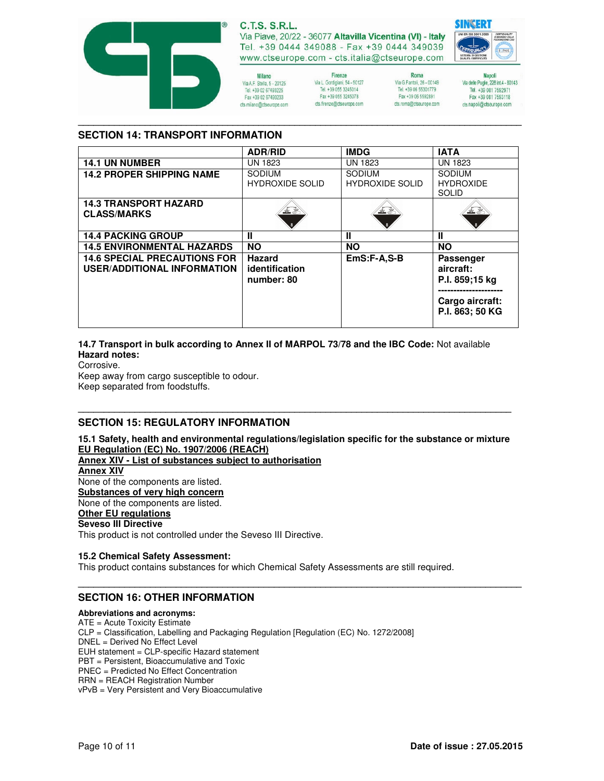

# **C.T.S. S.R.L.**

Via Piave, 20/22 - 36077 Altavilla Vicentina (VI) - Italy Tel. +39 0444 349088 - Fax +39 0444 349039 www.ctseurope.com - cts.italia@ctseurope.com

Milano Via A.F. Stella, 5 - 20125 Tel. +39 02 67493225 Fax +39 02 67493233 cts.milano@ctseurope.com

Firenze Via L. Gordigiani, 54 - 50127 Tel. +39 055 3245014 Fax +39 055 3245078 cts.frenze@ctseurope.com

Roma Via G.Fantoli, 26 - 00149 Tel. +39 06 55301779 Fax +39 06 5592891 cts.roma@ctseurope.com



Napoli<br>143- Via delle Puglie, 228 int.4 Tel. +39 081 7592971 Fax +39 081 7593118 cts.napoli@ctseurope.com

## **SECTION 14: TRANSPORT INFORMATION**

|                                                                           | <b>ADR/RID</b>                                | <b>IMDG</b>                             | <b>IATA</b>                                                                           |
|---------------------------------------------------------------------------|-----------------------------------------------|-----------------------------------------|---------------------------------------------------------------------------------------|
| <b>14.1 UN NUMBER</b>                                                     | <b>UN 1823</b>                                | UN 1823                                 | <b>UN 1823</b>                                                                        |
| <b>14.2 PROPER SHIPPING NAME</b>                                          | <b>SODIUM</b><br><b>HYDROXIDE SOLID</b>       | <b>SODIUM</b><br><b>HYDROXIDE SOLID</b> | <b>SODIUM</b><br><b>HYDROXIDE</b><br><b>SOLID</b>                                     |
| <b>14.3 TRANSPORT HAZARD</b><br><b>CLASS/MARKS</b>                        |                                               |                                         |                                                                                       |
| <b>14.4 PACKING GROUP</b>                                                 | Ш                                             | Ш                                       | Ш                                                                                     |
| <b>14.5 ENVIRONMENTAL HAZARDS</b>                                         | <b>NO</b>                                     | <b>NO</b>                               | <b>NO</b>                                                                             |
| <b>14.6 SPECIAL PRECAUTIONS FOR</b><br><b>USER/ADDITIONAL INFORMATION</b> | <b>Hazard</b><br>identification<br>number: 80 | EmS:F-A,S-B                             | <b>Passenger</b><br>aircraft:<br>P.I. 859;15 kg<br>Cargo aircraft:<br>P.I. 863; 50 KG |

**\_\_\_\_\_\_\_\_\_\_\_\_\_\_\_\_\_\_\_\_\_\_\_\_\_\_\_\_\_\_\_\_\_\_\_\_\_\_\_\_\_\_\_\_\_\_\_\_\_\_\_\_\_\_\_\_\_\_\_\_\_\_\_\_\_\_\_\_\_\_\_\_\_\_\_\_\_\_\_\_\_\_\_\_\_\_**

### **14.7 Transport in bulk according to Annex II of MARPOL 73/78 and the IBC Code:** Not available **Hazard notes:**

Corrosive.

Keep away from cargo susceptible to odour. Keep separated from foodstuffs.

# **SECTION 15: REGULATORY INFORMATION**

**15.1 Safety, health and environmental regulations/legislation specific for the substance or mixture EU Regulation (EC) No. 1907/2006 (REACH)**

**\_\_\_\_\_\_\_\_\_\_\_\_\_\_\_\_\_\_\_\_\_\_\_\_\_\_\_\_\_\_\_\_\_\_\_\_\_\_\_\_\_\_\_\_\_\_\_\_\_\_\_\_\_\_\_\_\_\_\_\_\_\_\_\_\_\_\_\_\_\_\_\_\_\_\_\_\_\_\_\_\_\_\_\_\_\_**

**\_\_\_\_\_\_\_\_\_\_\_\_\_\_\_\_\_\_\_\_\_\_\_\_\_\_\_\_\_\_\_\_\_\_\_\_\_\_\_\_\_\_\_\_\_\_\_\_\_\_\_\_\_\_\_\_\_\_\_\_\_\_\_\_\_\_\_\_\_\_\_\_\_\_\_\_\_\_\_\_\_\_\_\_**

- **Annex XIV List of substances subject to authorisation**
- **Annex XIV**

None of the components are listed. **Substances of very high concern**

None of the components are listed.

# **Other EU regulations**

## **Seveso III Directive**

This product is not controlled under the Seveso III Directive.

## **15.2 Chemical Safety Assessment:**

This product contains substances for which Chemical Safety Assessments are still required.

# **SECTION 16: OTHER INFORMATION**

### **Abbreviations and acronyms:**

ATE = Acute Toxicity Estimate CLP = Classification, Labelling and Packaging Regulation [Regulation (EC) No. 1272/2008] DNEL = Derived No Effect Level EUH statement = CLP-specific Hazard statement PBT = Persistent, Bioaccumulative and Toxic PNEC = Predicted No Effect Concentration RRN = REACH Registration Number vPvB = Very Persistent and Very Bioaccumulative